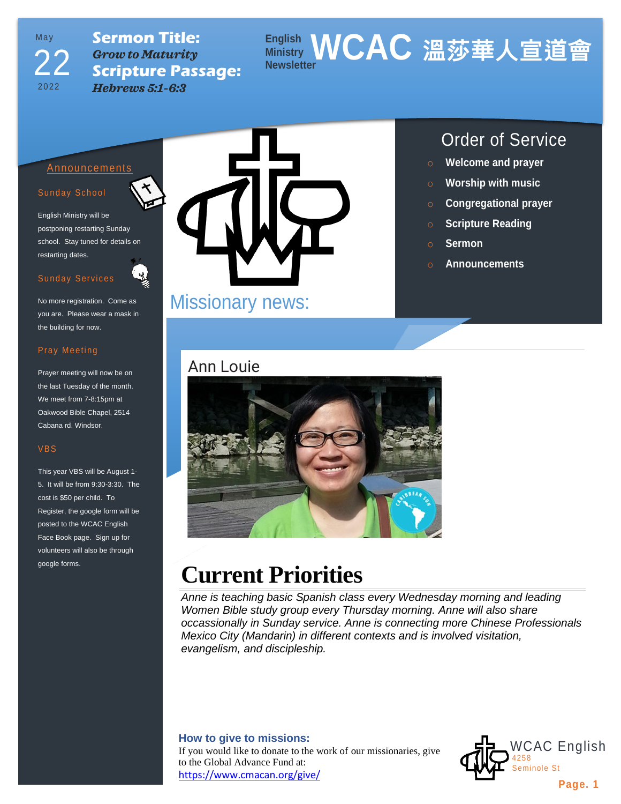## May 2022 22

**Sermon Title:** *Grow to Maturity* **Scripture Passage:** *Hebrews 5:1-6:3*

### **English Ministry WCAC 溫莎華人宣道會 Newsletter**

#### Announcements

#### Sunday School

English Ministry will be postponing restarting Sunday school. Stay tuned for details on restarting dates.

#### Sunday Services

No more registration. Come as you are. Please wear a mask in the building for now.

#### Pray Meeting

Prayer meeting will now be on the last Tuesday of the month. We meet from 7-8:15pm at Oakwood Bible Chapel, 2514 Cabana rd. Windsor.

#### VBS

This year VBS will be August 1- 5. It will be from 9:30-3:30. The cost is \$50 per child. To Register, the google form will be posted to the WCAC English Face Book page. Sign up for volunteers will also be through google forms.



## Missionary news:

## Ann Louie



- o **Welcome and prayer**
- o **Worship with music**
- o **Congregational prayer**
- o **Scripture Reading**
- o **Sermon**
- o **Announcements**



# **Current Priorities**

*Anne is teaching basic Spanish class every Wednesday morning and leading Women Bible study group every Thursday morning. Anne will also share occassionally in Sunday service. Anne is connecting more Chinese Professionals Mexico City (Mandarin) in different contexts and is involved visitation, evangelism, and discipleship.*

#### **How to give to missions:**

If you would like to donate to the work of our missionaries, give to the Global Advance Fund at: <https://www.cmacan.org/give/>